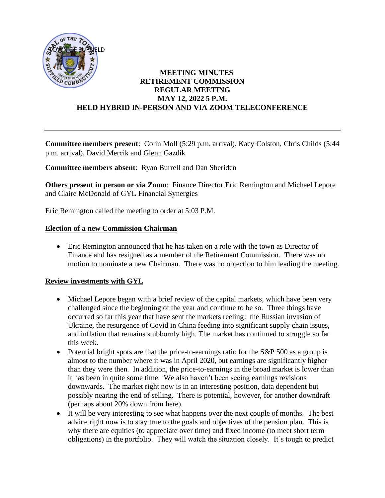

#### **MEETING MINUTES RETIREMENT COMMISSION REGULAR MEETING MAY 12, 2022 5 P.M. HELD HYBRID IN-PERSON AND VIA ZOOM TELECONFERENCE**

**Committee members present**: Colin Moll (5:29 p.m. arrival), Kacy Colston, Chris Childs (5:44 p.m. arrival), David Mercik and Glenn Gazdik

**Committee members absent**: Ryan Burrell and Dan Sheriden

**Others present in person or via Zoom**: Finance Director Eric Remington and Michael Lepore and Claire McDonald of GYL Financial Synergies

Eric Remington called the meeting to order at 5:03 P.M.

#### **Election of a new Commission Chairman**

• Eric Remington announced that he has taken on a role with the town as Director of Finance and has resigned as a member of the Retirement Commission. There was no motion to nominate a new Chairman. There was no objection to him leading the meeting.

# **Review investments with GYL**

- Michael Lepore began with a brief review of the capital markets, which have been very challenged since the beginning of the year and continue to be so. Three things have occurred so far this year that have sent the markets reeling: the Russian invasion of Ukraine, the resurgence of Covid in China feeding into significant supply chain issues, and inflation that remains stubbornly high. The market has continued to struggle so far this week.
- Potential bright spots are that the price-to-earnings ratio for the S&P 500 as a group is almost to the number where it was in April 2020, but earnings are significantly higher than they were then. In addition, the price-to-earnings in the broad market is lower than it has been in quite some time. We also haven't been seeing earnings revisions downwards. The market right now is in an interesting position, data dependent but possibly nearing the end of selling. There is potential, however, for another downdraft (perhaps about 20% down from here).
- It will be very interesting to see what happens over the next couple of months. The best advice right now is to stay true to the goals and objectives of the pension plan. This is why there are equities (to appreciate over time) and fixed income (to meet short term obligations) in the portfolio. They will watch the situation closely. It's tough to predict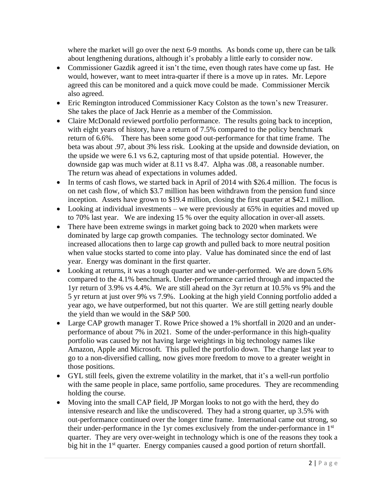where the market will go over the next 6-9 months. As bonds come up, there can be talk about lengthening durations, although it's probably a little early to consider now.

- Commissioner Gazdik agreed it isn't the time, even though rates have come up fast. He would, however, want to meet intra-quarter if there is a move up in rates. Mr. Lepore agreed this can be monitored and a quick move could be made. Commissioner Mercik also agreed.
- Eric Remington introduced Commissioner Kacy Colston as the town's new Treasurer. She takes the place of Jack Henrie as a member of the Commission.
- Claire McDonald reviewed portfolio performance. The results going back to inception, with eight years of history, have a return of 7.5% compared to the policy benchmark return of 6.6%. There has been some good out-performance for that time frame. The beta was about .97, about 3% less risk. Looking at the upside and downside deviation, on the upside we were 6.1 vs 6.2, capturing most of that upside potential. However, the downside gap was much wider at 8.11 vs 8.47. Alpha was .08, a reasonable number. The return was ahead of expectations in volumes added.
- In terms of cash flows, we started back in April of 2014 with \$26.4 million. The focus is on net cash flow, of which \$3.7 million has been withdrawn from the pension fund since inception. Assets have grown to \$19.4 million, closing the first quarter at \$42.1 million.
- Looking at individual investments we were previously at 65% in equities and moved up to 70% last year. We are indexing 15 % over the equity allocation in over-all assets.
- There have been extreme swings in market going back to 2020 when markets were dominated by large cap growth companies. The technology sector dominated. We increased allocations then to large cap growth and pulled back to more neutral position when value stocks started to come into play. Value has dominated since the end of last year. Energy was dominant in the first quarter.
- Looking at returns, it was a tough quarter and we under-performed. We are down 5.6% compared to the 4.1% benchmark. Under-performance carried through and impacted the 1yr return of 3.9% vs 4.4%. We are still ahead on the 3yr return at 10.5% vs 9% and the 5 yr return at just over 9% vs 7.9%. Looking at the high yield Conning portfolio added a year ago, we have outperformed, but not this quarter. We are still getting nearly double the yield than we would in the S&P 500.
- Large CAP growth manager T. Rowe Price showed a 1% shortfall in 2020 and an underperformance of about 7% in 2021. Some of the under-performance in this high-quality portfolio was caused by not having large weightings in big technology names like Amazon, Apple and Microsoft. This pulled the portfolio down. The change last year to go to a non-diversified calling, now gives more freedom to move to a greater weight in those positions.
- GYL still feels, given the extreme volatility in the market, that it's a well-run portfolio with the same people in place, same portfolio, same procedures. They are recommending holding the course.
- Moving into the small CAP field, JP Morgan looks to not go with the herd, they do intensive research and like the undiscovered. They had a strong quarter, up 3.5% with out-performance continued over the longer time frame. International came out strong, so their under-performance in the 1yr comes exclusively from the under-performance in 1st quarter. They are very over-weight in technology which is one of the reasons they took a big hit in the 1<sup>st</sup> quarter. Energy companies caused a good portion of return shortfall.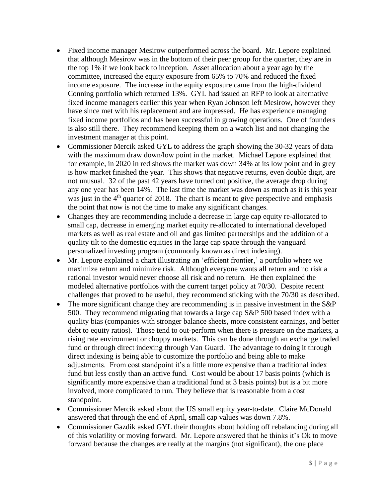- Fixed income manager Mesirow outperformed across the board. Mr. Lepore explained that although Mesirow was in the bottom of their peer group for the quarter, they are in the top 1% if we look back to inception. Asset allocation about a year ago by the committee, increased the equity exposure from 65% to 70% and reduced the fixed income exposure. The increase in the equity exposure came from the high-dividend Conning portfolio which returned 13%. GYL had issued an RFP to look at alternative fixed income managers earlier this year when Ryan Johnson left Mesirow, however they have since met with his replacement and are impressed. He has experience managing fixed income portfolios and has been successful in growing operations. One of founders is also still there. They recommend keeping them on a watch list and not changing the investment manager at this point.
- Commissioner Mercik asked GYL to address the graph showing the 30-32 years of data with the maximum draw down/low point in the market. Michael Lepore explained that for example, in 2020 in red shows the market was down 34% at its low point and in grey is how market finished the year. This shows that negative returns, even double digit, are not unusual. 32 of the past 42 years have turned out positive, the average drop during any one year has been 14%. The last time the market was down as much as it is this year was just in the  $4<sup>th</sup>$  quarter of 2018. The chart is meant to give perspective and emphasis the point that now is not the time to make any significant changes.
- Changes they are recommending include a decrease in large cap equity re-allocated to small cap, decrease in emerging market equity re-allocated to international developed markets as well as real estate and oil and gas limited partnerships and the addition of a quality tilt to the domestic equities in the large cap space through the vanguard personalized investing program (commonly known as direct indexing).
- Mr. Lepore explained a chart illustrating an 'efficient frontier,' a portfolio where we maximize return and minimize risk. Although everyone wants all return and no risk a rational investor would never choose all risk and no return. He then explained the modeled alternative portfolios with the current target policy at 70/30. Despite recent challenges that proved to be useful, they recommend sticking with the 70/30 as described.
- The more significant change they are recommending is in passive investment in the S&P 500. They recommend migrating that towards a large cap S&P 500 based index with a quality bias (companies with stronger balance sheets, more consistent earnings, and better debt to equity ratios). Those tend to out-perform when there is pressure on the markets, a rising rate environment or choppy markets. This can be done through an exchange traded fund or through direct indexing through Van Guard. The advantage to doing it through direct indexing is being able to customize the portfolio and being able to make adjustments. From cost standpoint it's a little more expensive than a traditional index fund but less costly than an active fund. Cost would be about 17 basis points (which is significantly more expensive than a traditional fund at 3 basis points) but is a bit more involved, more complicated to run. They believe that is reasonable from a cost standpoint.
- Commissioner Mercik asked about the US small equity year-to-date. Claire McDonald answered that through the end of April, small cap values was down 7.8%.
- Commissioner Gazdik asked GYL their thoughts about holding off rebalancing during all of this volatility or moving forward. Mr. Lepore answered that he thinks it's Ok to move forward because the changes are really at the margins (not significant), the one place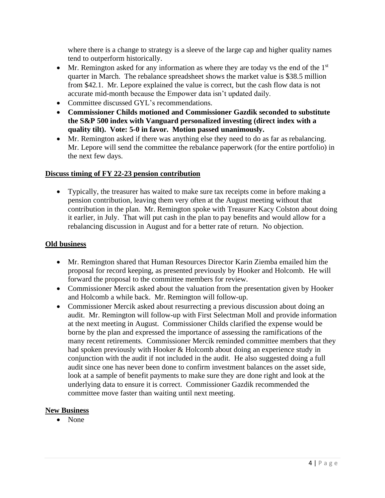where there is a change to strategy is a sleeve of the large cap and higher quality names tend to outperform historically.

- Mr. Remington asked for any information as where they are today vs the end of the  $1<sup>st</sup>$ quarter in March. The rebalance spreadsheet shows the market value is \$38.5 million from \$42.1. Mr. Lepore explained the value is correct, but the cash flow data is not accurate mid-month because the Empower data isn't updated daily.
- Committee discussed GYL's recommendations.
- **Commissioner Childs motioned and Commissioner Gazdik seconded to substitute the S&P 500 index with Vanguard personalized investing (direct index with a quality tilt). Vote: 5-0 in favor. Motion passed unanimously.**
- Mr. Remington asked if there was anything else they need to do as far as rebalancing. Mr. Lepore will send the committee the rebalance paperwork (for the entire portfolio) in the next few days.

# **Discuss timing of FY 22-23 pension contribution**

• Typically, the treasurer has waited to make sure tax receipts come in before making a pension contribution, leaving them very often at the August meeting without that contribution in the plan. Mr. Remington spoke with Treasurer Kacy Colston about doing it earlier, in July. That will put cash in the plan to pay benefits and would allow for a rebalancing discussion in August and for a better rate of return. No objection.

# **Old business**

- Mr. Remington shared that Human Resources Director Karin Ziemba emailed him the proposal for record keeping, as presented previously by Hooker and Holcomb. He will forward the proposal to the committee members for review.
- Commissioner Mercik asked about the valuation from the presentation given by Hooker and Holcomb a while back. Mr. Remington will follow-up.
- Commissioner Mercik asked about resurrecting a previous discussion about doing an audit. Mr. Remington will follow-up with First Selectman Moll and provide information at the next meeting in August. Commissioner Childs clarified the expense would be borne by the plan and expressed the importance of assessing the ramifications of the many recent retirements. Commissioner Mercik reminded committee members that they had spoken previously with Hooker & Holcomb about doing an experience study in conjunction with the audit if not included in the audit. He also suggested doing a full audit since one has never been done to confirm investment balances on the asset side, look at a sample of benefit payments to make sure they are done right and look at the underlying data to ensure it is correct. Commissioner Gazdik recommended the committee move faster than waiting until next meeting.

# **New Business**

• None